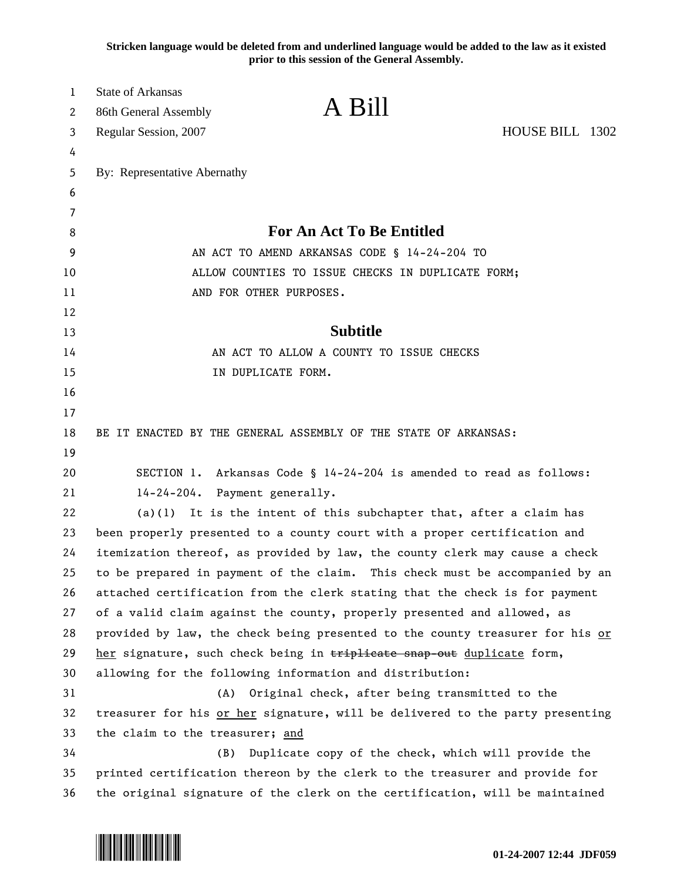**Stricken language would be deleted from and underlined language would be added to the law as it existed prior to this session of the General Assembly.**

| 1      | <b>State of Arkansas</b>                                                      | A Bill                                         |                 |
|--------|-------------------------------------------------------------------------------|------------------------------------------------|-----------------|
| 2      | 86th General Assembly                                                         |                                                | HOUSE BILL 1302 |
| 3      | Regular Session, 2007                                                         |                                                |                 |
| 4      |                                                                               |                                                |                 |
| 5<br>6 | By: Representative Abernathy                                                  |                                                |                 |
| 7      |                                                                               |                                                |                 |
| 8      | <b>For An Act To Be Entitled</b>                                              |                                                |                 |
| 9      | AN ACT TO AMEND ARKANSAS CODE § 14-24-204 TO                                  |                                                |                 |
| 10     | ALLOW COUNTIES TO ISSUE CHECKS IN DUPLICATE FORM;                             |                                                |                 |
| 11     | AND FOR OTHER PURPOSES.                                                       |                                                |                 |
| 12     |                                                                               |                                                |                 |
| 13     | <b>Subtitle</b>                                                               |                                                |                 |
| 14     | AN ACT TO ALLOW A COUNTY TO ISSUE CHECKS                                      |                                                |                 |
| 15     | IN DUPLICATE FORM.                                                            |                                                |                 |
| 16     |                                                                               |                                                |                 |
| 17     |                                                                               |                                                |                 |
| 18     | BE IT ENACTED BY THE GENERAL ASSEMBLY OF THE STATE OF ARKANSAS:               |                                                |                 |
| 19     |                                                                               |                                                |                 |
| 20     | SECTION 1. Arkansas Code § 14-24-204 is amended to read as follows:           |                                                |                 |
| 21     | 14-24-204. Payment generally.                                                 |                                                |                 |
| 22     | $(a)(1)$ It is the intent of this subchapter that, after a claim has          |                                                |                 |
| 23     | been properly presented to a county court with a proper certification and     |                                                |                 |
| 24     | itemization thereof, as provided by law, the county clerk may cause a check   |                                                |                 |
| 25     | to be prepared in payment of the claim. This check must be accompanied by an  |                                                |                 |
| 26     | attached certification from the clerk stating that the check is for payment   |                                                |                 |
| 27     | of a valid claim against the county, properly presented and allowed, as       |                                                |                 |
| 28     | provided by law, the check being presented to the county treasurer for his or |                                                |                 |
| 29     | her signature, such check being in triplicate snap-out duplicate form,        |                                                |                 |
| 30     | allowing for the following information and distribution:                      |                                                |                 |
| 31     | (A)                                                                           | Original check, after being transmitted to the |                 |
| 32     | treasurer for his or her signature, will be delivered to the party presenting |                                                |                 |
| 33     | the claim to the treasurer; and                                               |                                                |                 |
| 34     | (B)<br>Duplicate copy of the check, which will provide the                    |                                                |                 |
| 35     | printed certification thereon by the clerk to the treasurer and provide for   |                                                |                 |
| 36     | the original signature of the clerk on the certification, will be maintained  |                                                |                 |